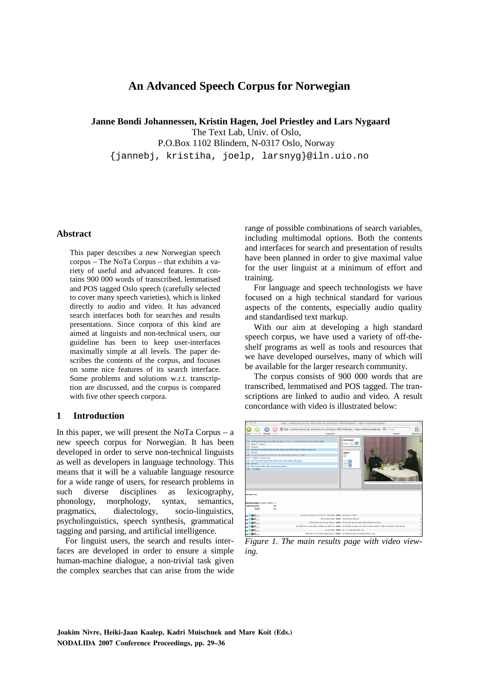# **An Advanced Speech Corpus for Norwegian**

 **Janne Bondi Johannessen, Kristin Hagen, Joel Priestley and Lars Nygaard**  The Text Lab, Univ. of Oslo, P.O.Box 1102 Blindern, N-0317 Oslo, Norway {jannebj, kristiha, joelp, larsnyg}@iln.uio.no

# **Abstract**

This paper describes a new Norwegian speech corpus – The NoTa Corpus – that exhibits a variety of useful and advanced features. It contains 900 000 words of transcribed, lemmatised and POS tagged Oslo speech (carefully selected to cover many speech varieties), which is linked directly to audio and video. It has advanced search interfaces both for searches and results presentations. Since corpora of this kind are aimed at linguists and non-technical users, our guideline has been to keep user-interfaces maximally simple at all levels. The paper describes the contents of the corpus, and focuses on some nice features of its search interface. Some problems and solutions w.r.t. transcription are discussed, and the corpus is compared with five other speech corpora.

### **1 Introduction**

In this paper, we will present the NoTa Corpus  $-$  a new speech corpus for Norwegian. It has been developed in order to serve non-technical linguists as well as developers in language technology. This means that it will be a valuable language resource for a wide range of users, for research problems in such diverse disciplines as lexicography, phonology, morphology, syntax, semantics, pragmatics, dialectology, socio-linguistics, psycholinguistics, speech synthesis, grammatical tagging and parsing, and artificial intelligence.

For linguist users, the search and results interfaces are developed in order to ensure a simple human-machine dialogue, a non-trivial task given the complex searches that can arise from the wide range of possible combinations of search variables, including multimodal options. Both the contents and interfaces for search and presentation of results have been planned in order to give maximal value for the user linguist at a minimum of effort and training.

For language and speech technologists we have focused on a high technical standard for various aspects of the contents, especially audio quality and standardised text markup.

With our aim at developing a high standard speech corpus, we have used a variety of off-theshelf programs as well as tools and resources that we have developed ourselves, many of which will be available for the larger research community.

The corpus consists of 900 000 words that are transcribed, lemmatised and POS tagged. The transcriptions are linked to audio and video. A result concordance with video is illustrated below:



*Figure 1. The main results page with video viewing.*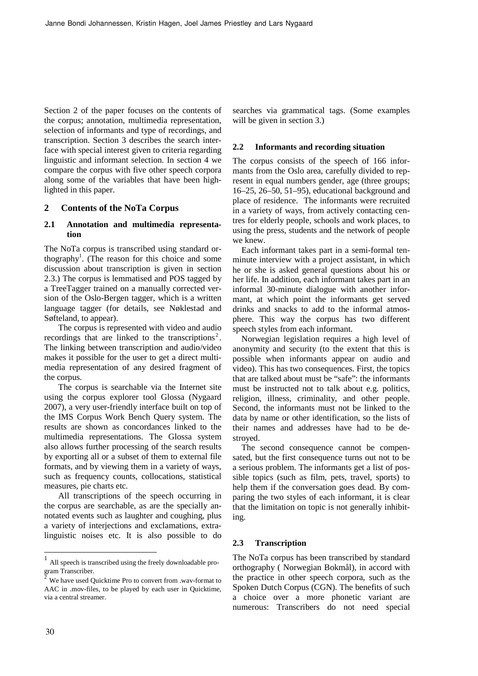Section 2 of the paper focuses on the contents of the corpus; annotation, multimedia representation, selection of informants and type of recordings, and transcription. Section 3 describes the search interface with special interest given to criteria regarding linguistic and informant selection. In section 4 we compare the corpus with five other speech corpora along some of the variables that have been highlighted in this paper.

# **2 Contents of the NoTa Corpus**

### **2.1 Annotation and multimedia representation**

The NoTa corpus is transcribed using standard orthography<sup>1</sup>. (The reason for this choice and some discussion about transcription is given in section 2.3.) The corpus is lemmatised and POS tagged by a TreeTagger trained on a manually corrected version of the Oslo-Bergen tagger, which is a written language tagger (for details, see Nøklestad and Søfteland, to appear).

The corpus is represented with video and audio recordings that are linked to the transcriptions<sup>2</sup>. The linking between transcription and audio/video makes it possible for the user to get a direct multimedia representation of any desired fragment of the corpus.

The corpus is searchable via the Internet site using the corpus explorer tool Glossa (Nygaard 2007), a very user-friendly interface built on top of the IMS Corpus Work Bench Query system. The results are shown as concordances linked to the multimedia representations. The Glossa system also allows further processing of the search results by exporting all or a subset of them to external file formats, and by viewing them in a variety of ways, such as frequency counts, collocations, statistical measures, pie charts etc.

All transcriptions of the speech occurring in the corpus are searchable, as are the specially annotated events such as laughter and coughing, plus a variety of interjections and exclamations, extralinguistic noises etc. It is also possible to do searches via grammatical tags. (Some examples will be given in section 3.)

# **2.2 Informants and recording situation**

The corpus consists of the speech of 166 informants from the Oslo area, carefully divided to represent in equal numbers gender, age (three groups; 16–25, 26–50, 51–95), educational background and place of residence. The informants were recruited in a variety of ways, from actively contacting centres for elderly people, schools and work places, to using the press, students and the network of people we knew.

Each informant takes part in a semi-formal tenminute interview with a project assistant, in which he or she is asked general questions about his or her life. In addition, each informant takes part in an informal 30-minute dialogue with another informant, at which point the informants get served drinks and snacks to add to the informal atmosphere. This way the corpus has two different speech styles from each informant.

Norwegian legislation requires a high level of anonymity and security (to the extent that this is possible when informants appear on audio and video). This has two consequences. First, the topics that are talked about must be "safe": the informants must be instructed not to talk about e.g. politics, religion, illness, criminality, and other people. Second, the informants must not be linked to the data by name or other identification, so the lists of their names and addresses have had to be destroyed.

The second consequence cannot be compensated, but the first consequence turns out not to be a serious problem. The informants get a list of possible topics (such as film, pets, travel, sports) to help them if the conversation goes dead. By comparing the two styles of each informant, it is clear that the limitation on topic is not generally inhibiting.

### **2.3 Transcription**

The NoTa corpus has been transcribed by standard orthography ( Norwegian Bokmål), in accord with the practice in other speech corpora, such as the Spoken Dutch Corpus (CGN). The benefits of such a choice over a more phonetic variant are numerous: Transcribers do not need special

<sup>1</sup> All speech is transcribed using the freely downloadable pro- $\frac{1}{2}$ gram Transcriber.

We have used Quicktime Pro to convert from .wav-format to AAC in .mov-files, to be played by each user in Quicktime, via a central streamer.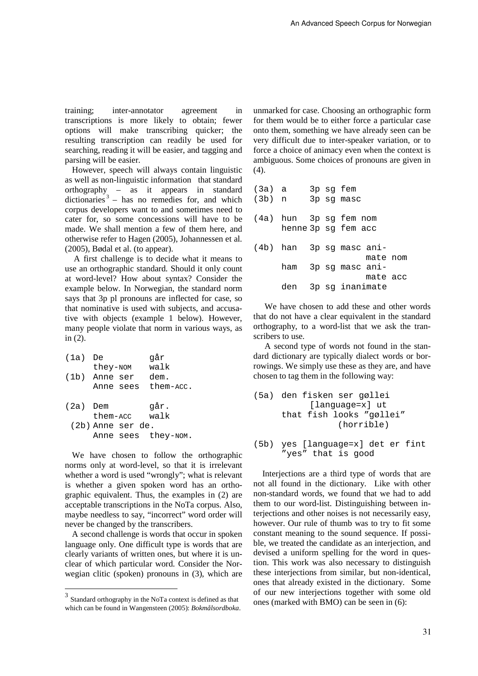training; inter-annotator agreement in transcriptions is more likely to obtain; fewer options will make transcribing quicker; the resulting transcription can readily be used for searching, reading it will be easier, and tagging and parsing will be easier.

However, speech will always contain linguistic as well as non-linguistic information that standard orthography – as it appears in standard dictionaries<sup>3</sup> – has no remedies for, and which corpus developers want to and sometimes need to cater for, so some concessions will have to be made. We shall mention a few of them here, and otherwise refer to Hagen (2005), Johannessen et al. (2005), Bødal et al. (to appear).

A first challenge is to decide what it means to use an orthographic standard. Should it only count at word-level? How about syntax? Consider the example below. In Norwegian, the standard norm says that 3p pl pronouns are inflected for case, so that nominative is used with subjects, and accusative with objects (example 1 below). However, many people violate that norm in various ways, as in (2).

| (1a)     | De                  | qår       |
|----------|---------------------|-----------|
|          | they-NOM            | walk      |
|          | (1b) Anne ser       | dem.      |
|          | Anne sees           | them-acc. |
|          |                     |           |
| (2a) Dem |                     | qår.      |
|          | them-acc            | walk      |
|          | (2b) Anne ser de.   |           |
|          | Anne sees they-NOM. |           |
|          |                     |           |

We have chosen to follow the orthographic norms only at word-level, so that it is irrelevant whether a word is used "wrongly"; what is relevant is whether a given spoken word has an orthographic equivalent. Thus, the examples in (2) are acceptable transcriptions in the NoTa corpus. Also, maybe needless to say, "incorrect" word order will never be changed by the transcribers.

A second challenge is words that occur in spoken language only. One difficult type is words that are clearly variants of written ones, but where it is unclear of which particular word. Consider the Norwegian clitic (spoken) pronouns in (3), which are unmarked for case. Choosing an orthographic form for them would be to either force a particular case onto them, something we have already seen can be very difficult due to inter-speaker variation, or to force a choice of animacy even when the context is ambiguous. Some choices of pronouns are given in (4).

| $(3a)$ a |                          |  | 3p sq fem  |          |  |
|----------|--------------------------|--|------------|----------|--|
| $(3b)$ n |                          |  | 3p sq masc |          |  |
|          |                          |  |            |          |  |
|          | (4a) hun 3p sq fem nom   |  |            |          |  |
|          | henne 3p sq fem acc      |  |            |          |  |
|          |                          |  |            |          |  |
|          | (4b) han 3p sq masc ani- |  |            |          |  |
|          |                          |  |            | mate nom |  |
|          | ham 3p sg masc ani-      |  |            |          |  |
|          |                          |  |            | mate acc |  |
|          | den 3p sg inanimate      |  |            |          |  |

We have chosen to add these and other words that do not have a clear equivalent in the standard orthography, to a word-list that we ask the transcribers to use.

A second type of words not found in the standard dictionary are typically dialect words or borrowings. We simply use these as they are, and have chosen to tag them in the following way:

```
(5a) den fisken ser gøllei 
           [language=x] ut 
      that fish looks "gøllei" 
                 (horrible)
```
(5b) yes [language=x] det er fint "yes" that is good

Interjections are a third type of words that are not all found in the dictionary. Like with other non-standard words, we found that we had to add them to our word-list. Distinguishing between interjections and other noises is not necessarily easy, however. Our rule of thumb was to try to fit some constant meaning to the sound sequence. If possible, we treated the candidate as an interjection, and devised a uniform spelling for the word in question. This work was also necessary to distinguish these interjections from similar, but non-identical, ones that already existed in the dictionary. Some of our new interjections together with some old ones (marked with BMO) can be seen in (6):

 3 Standard orthography in the NoTa context is defined as that which can be found in Wangensteen (2005): *Bokmålsordboka*.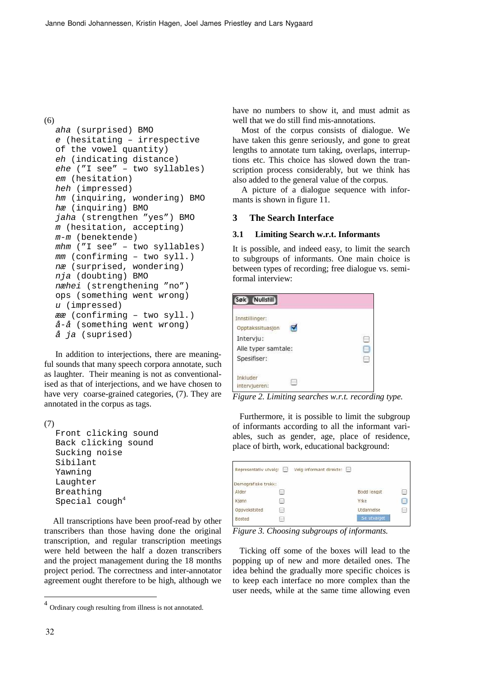(6)

```
aha (surprised) BMO 
e (hesitating – irrespective 
of the vowel quantity) 
eh (indicating distance) 
ehe ("I see" – two syllables) 
em (hesitation) 
heh (impressed) 
hm (inquiring, wondering) BMO 
hæ (inquiring) BMO 
jaha (strengthen "yes") BMO 
m (hesitation, accepting) 
m-m (benektende) 
mhm ("I see" – two syllables) 
mm (confirming – two syll.) 
næ (surprised, wondering) 
nja (doubting) BMO 
næhei (strengthening "no") 
ops (something went wrong) 
u (impressed) 
ææ (confirming – two syll.) 
å-å (something went wrong) 
å ja (suprised)
```
In addition to interjections, there are meaningful sounds that many speech corpora annotate, such as laughter. Their meaning is not as conventionalised as that of interjections, and we have chosen to have very coarse-grained categories, (7). They are annotated in the corpus as tags.

(7)

```
Front clicking sound 
Back clicking sound 
Sucking noise 
Sibilant 
Yawning 
Laughter 
Breathing 
Special cough4
```
All transcriptions have been proof-read by other transcribers than those having done the original transcription, and regular transcription meetings were held between the half a dozen transcribers and the project management during the 18 months project period. The correctness and inter-annotator agreement ought therefore to be high, although we

have no numbers to show it, and must admit as well that we do still find mis-annotations.

Most of the corpus consists of dialogue. We have taken this genre seriously, and gone to great lengths to annotate turn taking, overlaps, interruptions etc. This choice has slowed down the transcription process considerably, but we think has also added to the general value of the corpus.

A picture of a dialogue sequence with informants is shown in figure 11.

### **3 The Search Interface**

#### **3.1 Limiting Search w.r.t. Informants**

It is possible, and indeed easy, to limit the search to subgroups of informants. One main choice is between types of recording; free dialogue vs. semiformal interview:

| Nullstill<br>Søk)                                                                     |  |
|---------------------------------------------------------------------------------------|--|
| Innstillinger:<br>Opptakssituasjon<br>Intervju:<br>Alle typer samtale:<br>Spesifiser: |  |
| Inkluder<br>intervjueren:                                                             |  |

*Figure 2. Limiting searches w.r.t. recording type.* 

Furthermore, it is possible to limit the subgroup of informants according to all the informant variables, such as gender, age, place of residence, place of birth, work, educational background:

| Representativ utvalg: |            | Velg informant direkte:<br><b>First</b> |             |    |
|-----------------------|------------|-----------------------------------------|-------------|----|
| Demografiske trekk:   |            |                                         |             |    |
| Alder                 | æ          |                                         | Bodd lengst | h. |
| Kjønn                 | <b>ARE</b> |                                         | Yrke        | н  |
| Oppvekststed          | ωą         |                                         | Utdannelse  | ł. |
| Bosted                | œ          |                                         | Se utvalget |    |

*Figure 3. Choosing subgroups of informants.* 

Ticking off some of the boxes will lead to the popping up of new and more detailed ones. The idea behind the gradually more specific choices is to keep each interface no more complex than the user needs, while at the same time allowing even

<sup>&</sup>lt;sup>4</sup> Ordinary cough resulting from illness is not annotated.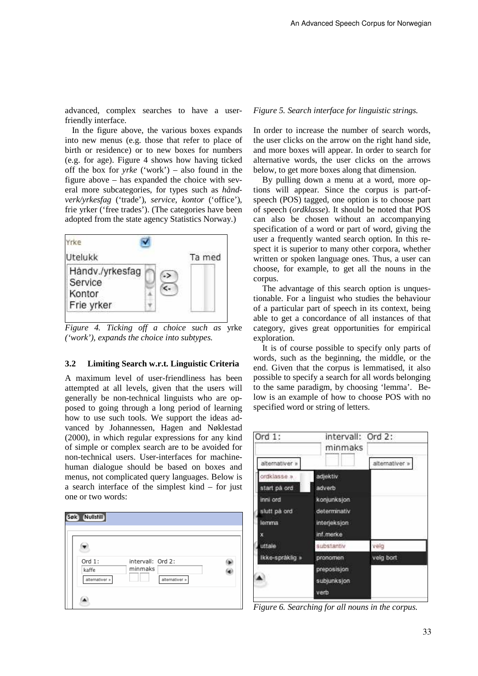advanced, complex searches to have a userfriendly interface.

In the figure above, the various boxes expands into new menus (e.g. those that refer to place of birth or residence) or to new boxes for numbers (e.g. for age). Figure 4 shows how having ticked off the box for *yrke* ('work') – also found in the figure above – has expanded the choice with several more subcategories, for types such as *håndverk/yrkesfag* ('trade'), *service*, *kontor* ('office'), frie yrker ('free trades'). (The categories have been adopted from the state agency Statistics Norway.)



*Figure 4. Ticking off a choice such as* yrke *('work'), expands the choice into subtypes.* 

# **3.2 Limiting Search w.r.t. Linguistic Criteria**

A maximum level of user-friendliness has been attempted at all levels, given that the users will generally be non-technical linguists who are opposed to going through a long period of learning how to use such tools. We support the ideas advanced by Johannessen, Hagen and Nøklestad (2000), in which regular expressions for any kind of simple or complex search are to be avoided for non-technical users. User-interfaces for machinehuman dialogue should be based on boxes and menus, not complicated query languages. Below is a search interface of the simplest kind – for just one or two words:



#### *Figure 5. Search interface for linguistic strings.*

In order to increase the number of search words, the user clicks on the arrow on the right hand side, and more boxes will appear. In order to search for alternative words, the user clicks on the arrows below, to get more boxes along that dimension.

By pulling down a menu at a word, more options will appear. Since the corpus is part-ofspeech (POS) tagged, one option is to choose part of speech (*ordklasse*). It should be noted that POS can also be chosen without an accompanying specification of a word or part of word, giving the user a frequently wanted search option. In this respect it is superior to many other corpora, whether written or spoken language ones. Thus, a user can choose, for example, to get all the nouns in the corpus.

The advantage of this search option is unquestionable. For a linguist who studies the behaviour of a particular part of speech in its context, being able to get a concordance of all instances of that category, gives great opportunities for empirical exploration.

It is of course possible to specify only parts of words, such as the beginning, the middle, or the end. Given that the corpus is lemmatised, it also possible to specify a search for all words belonging to the same paradigm, by choosing 'lemma'. Below is an example of how to choose POS with no specified word or string of letters.

| Ord $1$ :       | intervall: Ord 2:<br>minmaks |                |
|-----------------|------------------------------|----------------|
| alternativer »  |                              | alternativer » |
| ordklasse »     | adjektiv                     |                |
| start på ord    | adverb                       |                |
| inni ord        | konjunksjon.                 |                |
| slutt på ord    | determinativ                 |                |
| lemma           | interjeksjon                 |                |
| x               | inf.merke                    |                |
| uttale          | substantiv                   | velg           |
| Ikke-spráklig » | pronomen                     | velg bort      |
|                 | preposisjon                  |                |
|                 | subjunksjon                  |                |
|                 | verb                         |                |
|                 |                              |                |

*Figure 6. Searching for all nouns in the corpus.*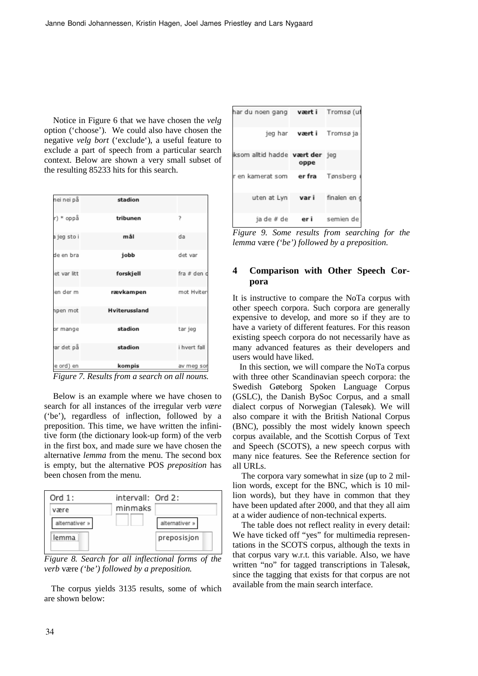Notice in Figure 6 that we have chosen the *velg* option ('choose'). We could also have chosen the negative *velg bort* ('exclude'), a useful feature to exclude a part of speech from a particular search context. Below are shown a very small subset of the resulting 85233 hits for this search.

| nei nei på  | stadion              |              |
|-------------|----------------------|--------------|
| r) * oppå   | tribunen             | 7            |
| a jeg sto i | mål                  | da           |
| de en bra   | jobb                 | det var      |
| et var litt | forskjell            | fra # den d  |
| en der m    | rævkampen            | mot Hviter   |
| npen mot    | <b>Hviterussland</b> |              |
| or mange    | stadion              | tar jeg      |
| ar det på   | stadion              | i hvert fall |
| le ord) en  | kompis               | av meg sor   |



Below is an example where we have chosen to search for all instances of the irregular verb *være*  ('be'), regardless of inflection, followed by a preposition. This time, we have written the infinitive form (the dictionary look-up form) of the verb in the first box, and made sure we have chosen the alternative *lemma* from the menu. The second box is empty, but the alternative POS *preposition* has been chosen from the menu.



*Figure 8. Search for all inflectional forms of the verb* være *('be') followed by a preposition.* 

The corpus yields 3135 results, some of which are shown below:

| hardunoengang <b>værti</b> Tromsø(uf        |  |
|---------------------------------------------|--|
| jeg har <b>vært i</b> Tromsøja              |  |
| iksom alltid hadde vært der jeg<br>oppe     |  |
| r en kamerat som le <b>r fra</b> Tønsberg i |  |
| uten at Lyn var i finalen en o              |  |
| ja de #de eri semien de                     |  |

*Figure 9. Some results from searching for the lemma* være *('be') followed by a preposition*.

# **4 Comparison with Other Speech Corpora**

It is instructive to compare the NoTa corpus with other speech corpora. Such corpora are generally expensive to develop, and more so if they are to have a variety of different features. For this reason existing speech corpora do not necessarily have as many advanced features as their developers and users would have liked.

In this section, we will compare the NoTa corpus with three other Scandinavian speech corpora: the Swedish Gøteborg Spoken Language Corpus (GSLC), the Danish BySoc Corpus, and a small dialect corpus of Norwegian (Talesøk). We will also compare it with the British National Corpus (BNC), possibly the most widely known speech corpus available, and the Scottish Corpus of Text and Speech (SCOTS), a new speech corpus with many nice features. See the Reference section for all URLs.

The corpora vary somewhat in size (up to 2 million words, except for the BNC, which is 10 million words), but they have in common that they have been updated after 2000, and that they all aim at a wider audience of non-technical experts.

The table does not reflect reality in every detail: We have ticked off "yes" for multimedia representations in the SCOTS corpus, although the texts in that corpus vary w.r.t. this variable. Also, we have written "no" for tagged transcriptions in Talesøk, since the tagging that exists for that corpus are not available from the main search interface.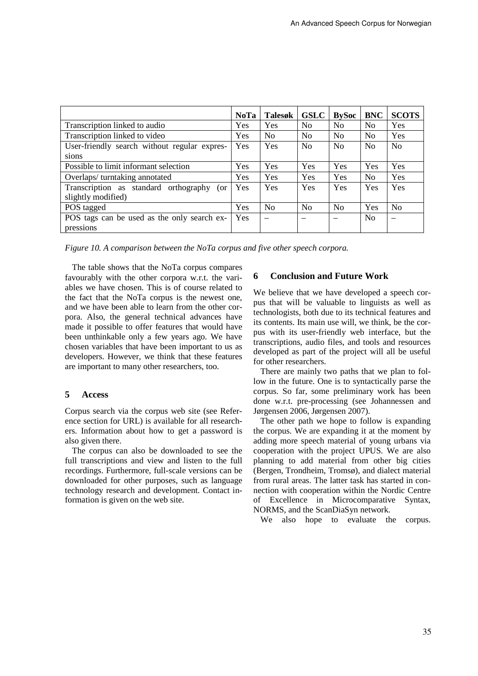|                                              | <b>NoTa</b> | <b>Talesøk</b>           | <b>GSLC</b>    | <b>BySoc</b>   | <b>BNC</b>     | <b>SCOTS</b>   |
|----------------------------------------------|-------------|--------------------------|----------------|----------------|----------------|----------------|
| Transcription linked to audio                | Yes         | Yes                      | N <sub>0</sub> | No             | No             | Yes            |
| Transcription linked to video                | <b>Yes</b>  | N <sub>o</sub>           | N <sub>0</sub> | N <sub>0</sub> | N <sub>0</sub> | Yes            |
| User-friendly search without regular expres- | <b>Yes</b>  | Yes                      | N <sub>0</sub> | N <sub>0</sub> | N <sub>0</sub> | N <sub>0</sub> |
| sions                                        |             |                          |                |                |                |                |
| Possible to limit informant selection        | Yes         | Yes                      | Yes            | Yes            | Yes            | Yes            |
| Overlaps/turntaking annotated                |             | Yes                      | Yes            | Yes            | N <sub>0</sub> | Yes            |
| Transcription as standard orthography<br>(or | <b>Yes</b>  | Yes                      | Yes            | <b>Yes</b>     | Yes            | Yes            |
| slightly modified)                           |             |                          |                |                |                |                |
| POS tagged                                   | Yes         | N <sub>0</sub>           | No             | No             | Yes            | N <sub>0</sub> |
| POS tags can be used as the only search ex-  | <b>Yes</b>  | $\overline{\phantom{0}}$ |                |                | N <sub>0</sub> |                |
| pressions                                    |             |                          |                |                |                |                |

*Figure 10. A comparison between the NoTa corpus and five other speech corpora.* 

The table shows that the NoTa corpus compares favourably with the other corpora w.r.t. the variables we have chosen. This is of course related to the fact that the NoTa corpus is the newest one, and we have been able to learn from the other corpora. Also, the general technical advances have made it possible to offer features that would have been unthinkable only a few years ago. We have chosen variables that have been important to us as developers. However, we think that these features are important to many other researchers, too.

# **5 Access**

Corpus search via the corpus web site (see Reference section for URL) is available for all researchers. Information about how to get a password is also given there.

The corpus can also be downloaded to see the full transcriptions and view and listen to the full recordings. Furthermore, full-scale versions can be downloaded for other purposes, such as language technology research and development. Contact information is given on the web site.

# **6 Conclusion and Future Work**

We believe that we have developed a speech corpus that will be valuable to linguists as well as technologists, both due to its technical features and its contents. Its main use will, we think, be the corpus with its user-friendly web interface, but the transcriptions, audio files, and tools and resources developed as part of the project will all be useful for other researchers.

There are mainly two paths that we plan to follow in the future. One is to syntactically parse the corpus. So far, some preliminary work has been done w.r.t. pre-processing (see Johannessen and Jørgensen 2006, Jørgensen 2007).

The other path we hope to follow is expanding the corpus. We are expanding it at the moment by adding more speech material of young urbans via cooperation with the project UPUS. We are also planning to add material from other big cities (Bergen, Trondheim, Tromsø), and dialect material from rural areas. The latter task has started in connection with cooperation within the Nordic Centre of Excellence in Microcomparative Syntax, NORMS, and the ScanDiaSyn network.

We also hope to evaluate the corpus.